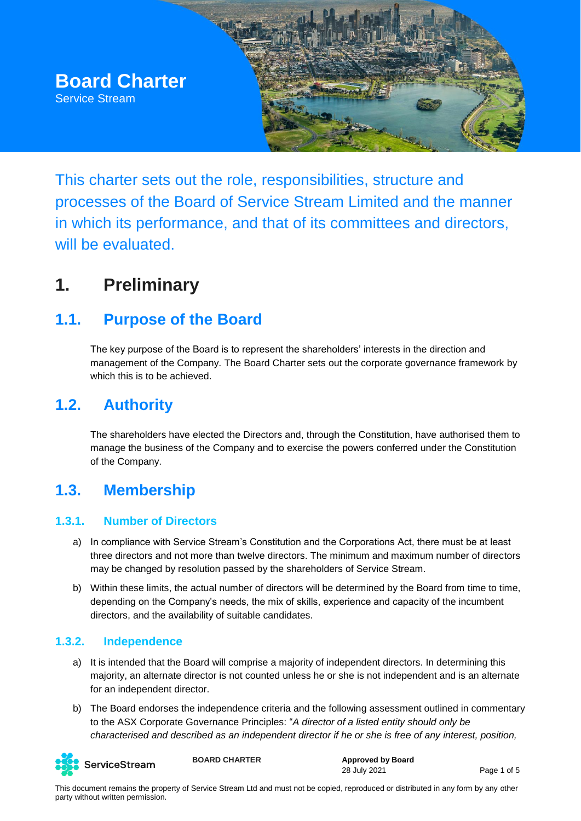

This charter sets out the role, responsibilities, structure and processes of the Board of Service Stream Limited and the manner in which its performance, and that of its committees and directors, will be evaluated.

## **1. Preliminary**

#### **1.1. Purpose of the Board**

The key purpose of the Board is to represent the shareholders' interests in the direction and management of the Company. The Board Charter sets out the corporate governance framework by which this is to be achieved.

#### **1.2. Authority**

The shareholders have elected the Directors and, through the Constitution, have authorised them to manage the business of the Company and to exercise the powers conferred under the Constitution of the Company.

#### **1.3. Membership**

#### **1.3.1. Number of Directors**

- a) In compliance with Service Stream's Constitution and the Corporations Act, there must be at least three directors and not more than twelve directors. The minimum and maximum number of directors may be changed by resolution passed by the shareholders of Service Stream.
- b) Within these limits, the actual number of directors will be determined by the Board from time to time, depending on the Company's needs, the mix of skills, experience and capacity of the incumbent directors, and the availability of suitable candidates.

#### **1.3.2. Independence**

- a) It is intended that the Board will comprise a majority of independent directors. In determining this majority, an alternate director is not counted unless he or she is not independent and is an alternate for an independent director.
- b) The Board endorses the independence criteria and the following assessment outlined in commentary to the ASX Corporate Governance Principles: "*A director of a listed entity should only be characterised and described as an independent director if he or she is free of any interest, position,*



**BOARD CHARTER Approved by Board**

28 July 2021 Page 1 of 5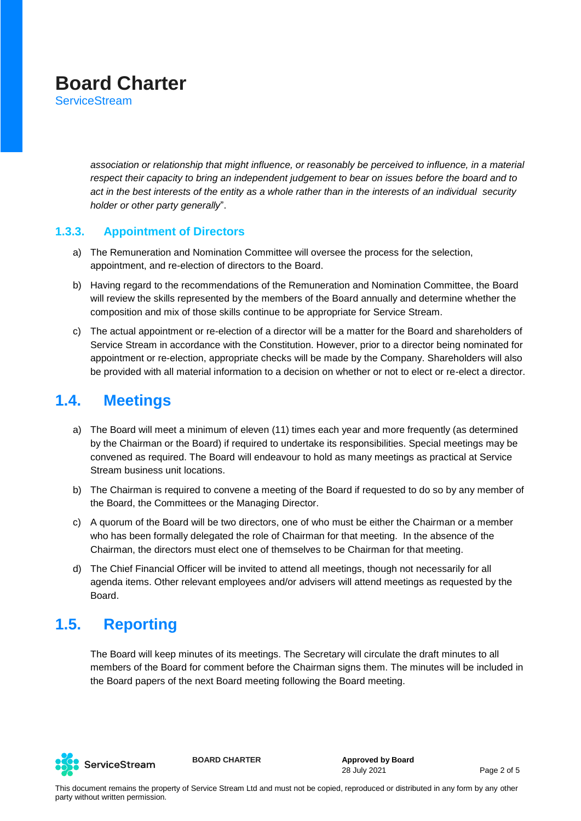**ServiceStream** 

*association or relationship that might influence, or reasonably be perceived to influence, in a material respect their capacity to bring an independent judgement to bear on issues before the board and to act in the best interests of the entity as a whole rather than in the interests of an individual security holder or other party generally*".

#### **1.3.3. Appointment of Directors**

- a) The Remuneration and Nomination Committee will oversee the process for the selection, appointment, and re-election of directors to the Board.
- b) Having regard to the recommendations of the Remuneration and Nomination Committee, the Board will review the skills represented by the members of the Board annually and determine whether the composition and mix of those skills continue to be appropriate for Service Stream.
- c) The actual appointment or re-election of a director will be a matter for the Board and shareholders of Service Stream in accordance with the Constitution. However, prior to a director being nominated for appointment or re-election, appropriate checks will be made by the Company. Shareholders will also be provided with all material information to a decision on whether or not to elect or re-elect a director.

#### **1.4. Meetings**

- a) The Board will meet a minimum of eleven (11) times each year and more frequently (as determined by the Chairman or the Board) if required to undertake its responsibilities. Special meetings may be convened as required. The Board will endeavour to hold as many meetings as practical at Service Stream business unit locations.
- b) The Chairman is required to convene a meeting of the Board if requested to do so by any member of the Board, the Committees or the Managing Director.
- c) A quorum of the Board will be two directors, one of who must be either the Chairman or a member who has been formally delegated the role of Chairman for that meeting. In the absence of the Chairman, the directors must elect one of themselves to be Chairman for that meeting.
- d) The Chief Financial Officer will be invited to attend all meetings, though not necessarily for all agenda items. Other relevant employees and/or advisers will attend meetings as requested by the Board.

#### **1.5. Reporting**

The Board will keep minutes of its meetings. The Secretary will circulate the draft minutes to all members of the Board for comment before the Chairman signs them. The minutes will be included in the Board papers of the next Board meeting following the Board meeting.



**BOARD CHARTER Approved by Board** 28 July 2021 Page 2 of 5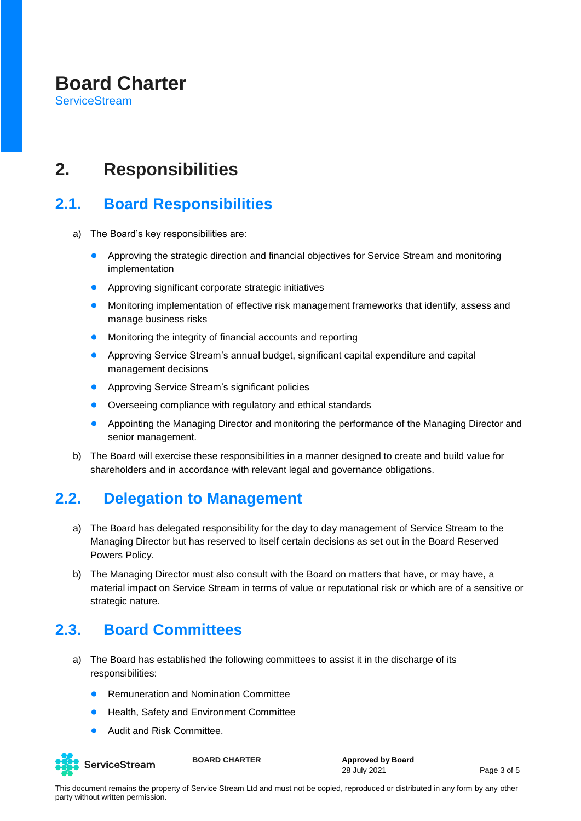**ServiceStream** 

## **2. Responsibilities**

#### **2.1. Board Responsibilities**

- a) The Board's key responsibilities are:
	- Approving the strategic direction and financial objectives for Service Stream and monitoring implementation
	- Approving significant corporate strategic initiatives
	- Monitoring implementation of effective risk management frameworks that identify, assess and manage business risks
	- Monitoring the integrity of financial accounts and reporting
	- Approving Service Stream's annual budget, significant capital expenditure and capital management decisions
	- Approving Service Stream's significant policies
	- Overseeing compliance with regulatory and ethical standards
	- Appointing the Managing Director and monitoring the performance of the Managing Director and senior management.
- b) The Board will exercise these responsibilities in a manner designed to create and build value for shareholders and in accordance with relevant legal and governance obligations.

#### **2.2. Delegation to Management**

- a) The Board has delegated responsibility for the day to day management of Service Stream to the Managing Director but has reserved to itself certain decisions as set out in the Board Reserved Powers Policy.
- b) The Managing Director must also consult with the Board on matters that have, or may have, a material impact on Service Stream in terms of value or reputational risk or which are of a sensitive or strategic nature.

#### **2.3. Board Committees**

- a) The Board has established the following committees to assist it in the discharge of its responsibilities:
	- **Remuneration and Nomination Committee**
	- Health, Safety and Environment Committee
	- Audit and Risk Committee.



**BOARD CHARTER Approved by Board** 28 July 2021 Page 3 of 5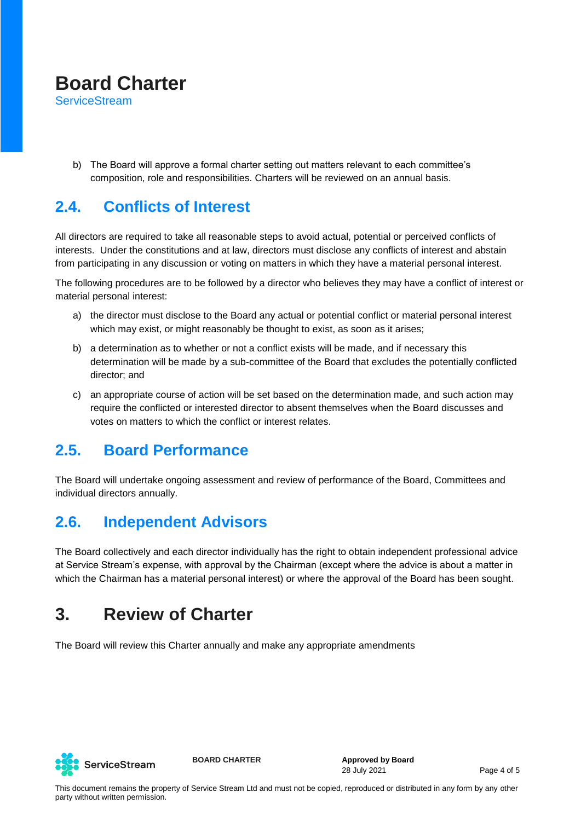**ServiceStream** 

b) The Board will approve a formal charter setting out matters relevant to each committee's composition, role and responsibilities. Charters will be reviewed on an annual basis.

#### **2.4. Conflicts of Interest**

All directors are required to take all reasonable steps to avoid actual, potential or perceived conflicts of interests. Under the constitutions and at law, directors must disclose any conflicts of interest and abstain from participating in any discussion or voting on matters in which they have a material personal interest.

The following procedures are to be followed by a director who believes they may have a conflict of interest or material personal interest:

- a) the director must disclose to the Board any actual or potential conflict or material personal interest which may exist, or might reasonably be thought to exist, as soon as it arises;
- b) a determination as to whether or not a conflict exists will be made, and if necessary this determination will be made by a sub-committee of the Board that excludes the potentially conflicted director; and
- c) an appropriate course of action will be set based on the determination made, and such action may require the conflicted or interested director to absent themselves when the Board discusses and votes on matters to which the conflict or interest relates.

#### **2.5. Board Performance**

The Board will undertake ongoing assessment and review of performance of the Board, Committees and individual directors annually.

### **2.6. Independent Advisors**

The Board collectively and each director individually has the right to obtain independent professional advice at Service Stream's expense, with approval by the Chairman (except where the advice is about a matter in which the Chairman has a material personal interest) or where the approval of the Board has been sought.

## **3. Review of Charter**

The Board will review this Charter annually and make any appropriate amendments



**BOARD CHARTER Approved by Board** 28 July 2021 Page 4 of 5